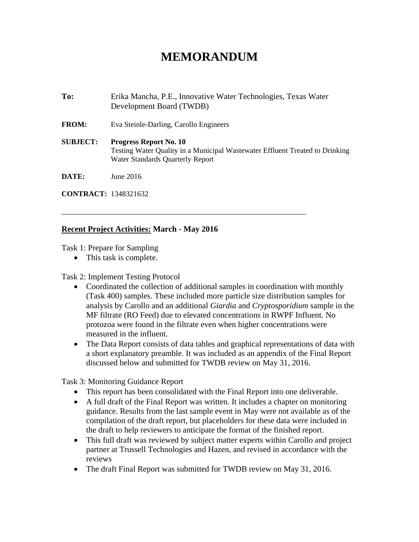## **MEMORANDUM**

**To:** Erika Mancha, P.E., Innovative Water Technologies, Texas Water Development Board (TWDB) **FROM:** Eva Steinle-Darling, Carollo Engineers **SUBJECT: Progress Report No. 10**  Testing Water Quality in a Municipal Wastewater Effluent Treated to Drinking Water Standards Quarterly Report **DATE:** June 2016

\_\_\_\_\_\_\_\_\_\_\_\_\_\_\_\_\_\_\_\_\_\_\_\_\_\_\_\_\_\_\_\_\_\_\_\_\_\_\_\_\_\_\_\_\_\_\_\_\_\_\_\_\_\_\_\_\_\_\_\_\_\_\_\_\_

**CONTRACT:** 1348321632

## **Recent Project Activities: March - May 2016**

Task 1: Prepare for Sampling

• This task is complete.

Task 2: Implement Testing Protocol

- Coordinated the collection of additional samples in coordination with monthly (Task 400) samples. These included more particle size distribution samples for analysis by Carollo and an additional *Giardia* and *Cryptosporidium* sample in the MF filtrate (RO Feed) due to elevated concentrations in RWPF Influent. No protozoa were found in the filtrate even when higher concentrations were measured in the influent.
- The Data Report consists of data tables and graphical representations of data with a short explanatory preamble. It was included as an appendix of the Final Report discussed below and submitted for TWDB review on May 31, 2016.

Task 3: Monitoring Guidance Report

- This report has been consolidated with the Final Report into one deliverable.
- A full draft of the Final Report was written. It includes a chapter on monitoring guidance. Results from the last sample event in May were not available as of the compilation of the draft report, but placeholders for these data were included in the draft to help reviewers to anticipate the format of the finished report.
- This full draft was reviewed by subject matter experts within Carollo and project partner at Trussell Technologies and Hazen, and revised in accordance with the reviews
- The draft Final Report was submitted for TWDB review on May 31, 2016.